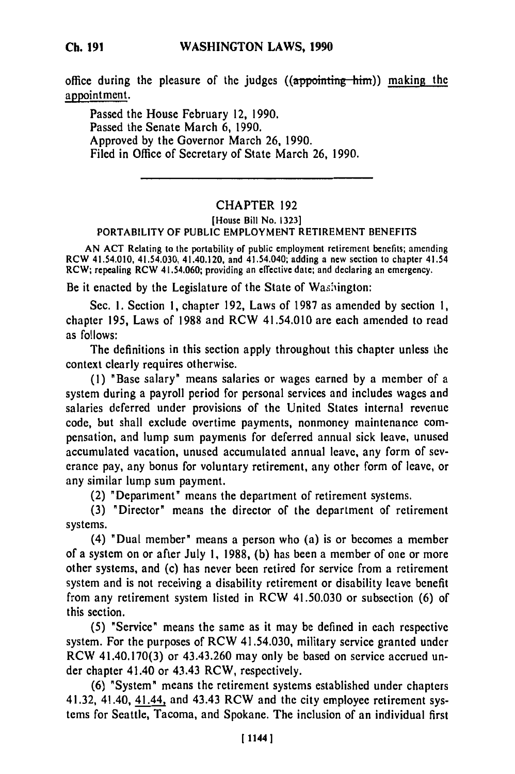# **WASHINGTON LAWS, 1990**

office during the pleasure of the judges  $((\alpha p)$  and  $(\alpha p)$  making the appointment.

Passed the House February 12, 1990. Passed the Senate March 6, 1990. Approved by the Governor March 26, 1990. Filed in Office of Secretary of State March 26, 1990.

# CHAPTER 192

#### [House Bill No. 1323] PORTABILITY OF PUBLIC EMPLOYMENT RETIREMENT BENEFITS

AN ACT Relating to the portability of public employment retirement benefits; amending RCW 41.54.010, 41.54.030, 41.40.120, and 41.54.040; adding a new section to chapter 41.54 RCW; repealing RCW 41.54.060; providing an effective date; and declaring an emergency.

Be it enacted by the Legislature of the State of Washington:

Sec. 1. Section 1, chapter 192, Laws of 1987 as amended by section 1, chapter 195, Laws of 1988 and RCW 41.54.010 are each amended to read as follows:

The definitions in this section apply throughout this chapter unless the context clearly requires otherwise.

(1) "Base salary" means salaries or wages earned by a member of a system during a payroll period for personal services and includes wages and salaries deferred under provisions of the United States internal revenue code, but shall exclude overtime payments, nonmoncy maintenance compensation, and lump sum payments for deferred annual sick leave, unused accumulated vacation, unused accumulated annual leave, any form of severance pay, any bonus for voluntary retirement, any other form of leave, or any similar lump sum payment.

(2) "Department" means the department of retirement systems.

(3) "Director" means the director of the department of retirement systems.

(4) "Dual member" means a person who (a) is or becomes a member of a system on or after July 1, 1988, (b) has been a member of one or more other systems, and (c) has never been retired for service from a retirement system and is not receiving a disability retirement or disability leave benefit from any retirement system listed in RCW 41.50.030 or subsection (6) of this section.

(5) "Service" means the same as it may be defined in each respective system. For the purposes of RCW 41.54.030, military service granted under RCW 41.40.170(3) or 43.43.260 may only be based on service accrued under chapter 41.40 or 43.43 RCW, respectively.

(6) "System" means the retirement systems established under chapters 41.32, 41.40, 41 and 43.43 RCW and the city employee retirement systems for Seattle, Tacoma, and Spokane. The inclusion of an individual first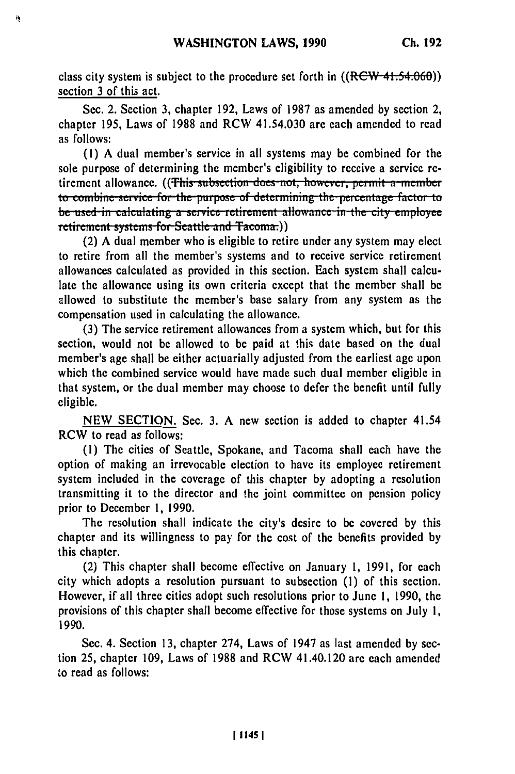class city system is subject to the procedure set forth in ((RCW-41.54.060)) section **3** of this act.

Sec. 2. Section **3,** chapter **192,** Laws of **1987** as amended **by** section 2, chapter **195,** Laws of **1988** and RCW 41.54.030 are each amended to read as follows:

**(1) A** dual member's service in all systems may be combined for the sole purpose of determiping the member's eligibility to receive a service retirement allowance. ((This subsection does not, however, permit a member to combine service for the purpose of determining the percentage factor to be used in calculating a service retirement allowance in the city employee retirement systems for Seattle and Tacoma.)

(2) A dual member who is eligible to retire under any system may elect to retire from all the member's systems and to receive service retirement allowances calculated as provided in this section. Each system shall calculate the allowance using its own criteria except that the member shall **be** allowed to substitute the member's base salary from any system as the compensation used in calculating the allowance.

**(3)** The service retirement allowances from a system which, but for this section, would not be allowed to be paid at this date based on the dual member's age shall be either actuarially adjusted from the earliest age upon which the combined service would have made such dual member eligible in that system, or the dual member may choose to defer the benefit until fully eligible.

**NEW** SECTION. Sec. **3.** A new section is added to chapter 41.54 RCW to read as follows:

**(1)** The cities of Seattle, Spokane, and Tacoma shall each have the option of making an irrevocable election to have its employee retirement system included in the coverage of this chapter **by** adopting a resolution transmitting it to the director and the joint committee on pension policy prior to December **1,** 1990.

The resolution shall indicate the city's desire to **be** covered **by** this chapter and its willingness to pay for the cost of the benefits provided **by** this chapter.

(2) This chapter shall become effective on January **1, 1991,** for each city which adopts a resolution pursuant to subsection **(1)** of this section. However, if all three cities adopt such resolutions prior to June **1, 1990,** the provisions of this chapter shall become effective for those systems on July **1,** 1990.

Sec. 4. Section 13, chapter 274, Laws of 1947 as last amended by section 25, chapter 109, Laws of 1988 and RCW 41.40.120 are each amended to read as follows: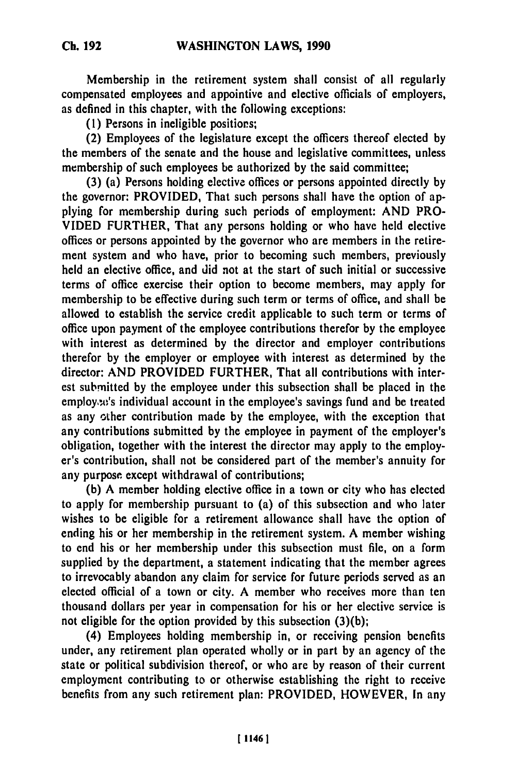Membership in the retirement system shall consist of all regularly compensated employees and appointive and elective officials of employers, as defined in this chapter, with the following exceptions:

**(1)** Persons in ineligible positiors;

(2) Employees of the legislature except the officers thereof elected **by** the members of the senate and the house and legislative committees, unless membership of such employees be authorized **by** the said committee;

**(3)** (a) Persons holding elective offices or persons appointed directly **by** the governor: PROVIDED, That such persons shall have the option of applying for membership during such periods of employment: **AND** PRO-**VIDED** FURTHER, That any persons holding or who have held elective offices or persons appointed **by** the governor who are members in the retirement system and who have, prior to becoming such members, previously held an elective office, and did not at the start of such initial or successive terms of office exercise their option to become members, may apply for membership to be effective during such term or terms of office, and shall be allowed to establish the service credit applicable to such term or terms of office upon payment of the employee contributions therefor **by** the employee with interest as determined **by** the director and employer contributions therefor **by** the employer or employee with interest as determined **by** the director: **AND** PROVIDED FURTHER, That all contributions with interest submitted **by** the employee under this subsection shall **be** placed in the employ,t's individual account in the employee's savings fund and be treated as any other contribution made **by** the employee, with the exception that any contributions submitted **by** the employee in payment of the employer's obligation, together with the interest the director may apply to the employer's contribution, shall not be considered part of the member's annuity for any purpose except withdrawal of contributions;

**(b) A** member holding elective office in a town or city who has elected to apply for membership pursuant to (a) of this subsection and who later wishes to be eligible for a retirement allowance shall have the option of ending his or her membership in the retirement system. **A** member wishing to end his or her membership under this subsection must **file,** on a form supplied **by** the department, a statement indicating that the member agrees to irrevocably abandon any claim for service for future periods served as an elected official of a town or city. **A** member who receives more than ten thousand dollars per year in compensation for his or her elective service is not eligible for the option provided **by** this subsection **(3)(b);**

(4) Employees holding membership in, or receiving pension benefits under, any retirement plan operated wholly or in part **by** an agency of the state or political subdivision thereof, or who are **by** reason of their current employment contributing to or otherwise establishing the right to receive benefits from any such retirement plan: PROVIDED, HOWEVER, In any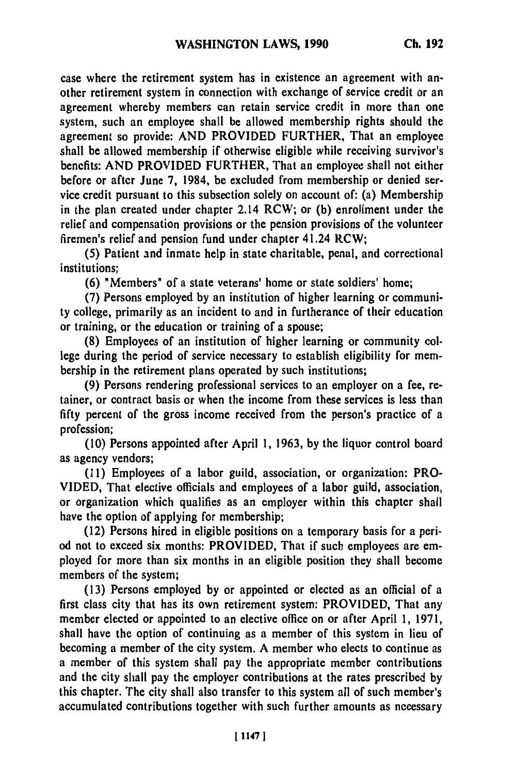case where the retirement system has in existence an agreement with another retirement system in connection with exchange of service credit or an agreement whereby members can retain service credit in more than one system, such an employee shall be allowed membership rights should the agreement so provide: **AND** PROVIDED FURTHER, That an employee shall be allowed membership if otherwise eligible while receiving survivor's benefits: **AND** PROVIDED FURTHER, That an employee shall not either before or after June **7,** 1984, be excluded from membership or denied service credit pursuant to this subsection solely on account of: (a) Membership in the plan created under chapter 2.14 RCW; or **(b)** enrollment under the relief and compensation provisions or the pension provisions of the volunteer firemen's relief and pension fund under chapter 41.24 RCW;

**(5)** Patient and inmate help in state charitable, penal, and correctional institutions;

**(6)** "Members" of a state veterans' home or state soldiers' home;

**(7)** Persons employed **by** an institution of higher learning or community college, primarily as an incident to and in furtherance of their education or training, or the education or training of a spouse;

**(8)** Employees of an institution of higher learning or community college during the period of service necessary to establish eligibility for membership in the retirement plans operated **by** such institutions;

**(9)** Persons rendering professional services to an employer on a fee, retainer, or contract basis or when the income from these services is less than **fifty** percent of the gross income received from the person's practice of a profession;

**(10)** Persons appointed after April **1, 1963, by** the liquor control board as agency vendors;

**(11)** Employees of a labor guild, association, or organization: PRO-VIDED, That elective officials and employees of a labor guild, association, or organization which qualifies as an employer within this chapter shall have the option of applying for membership;

(12) Persons hired in eligible positions on a temporary basis for a period not to exceed six months: PROVIDED, That if such employees are employed for more than six months in an eligible position they shall become members of the system;

**(13)** Persons employed **by** or appointed or elected as an official of a first class city that has its own retirement system: PROVIDED, That any member elected or appointed to an elective office on or after April **1, 1971,** shall have the option of continuing as a member of this system in lieu of becoming a member of the city system. **A** member who elects to continue as a member of this system shall pay the appropriate member contributions and the city shall pay the employer contributions at the rates prescribed **by** this chapter. The city shall also transfer to this system all of such member's accumulated contributions together with such further amounts as necessary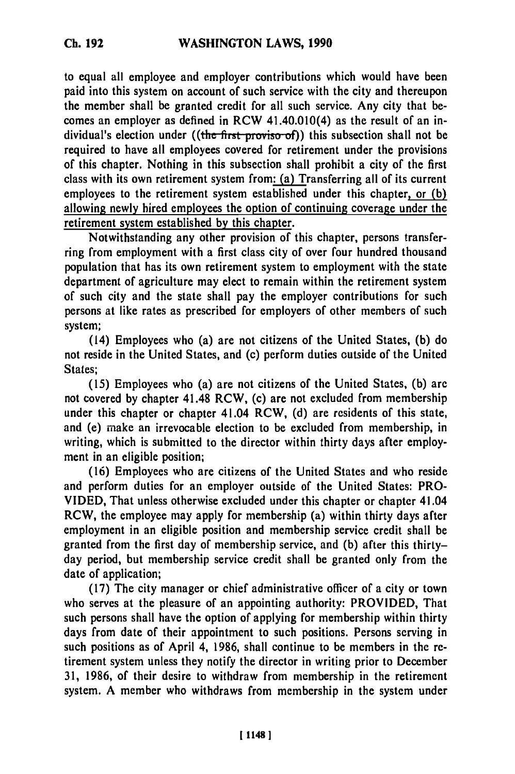**Ch. 192**

to equal all employee and employer contributions which would have been paid into this system on account of such service with the city and thereupon the member shall be granted credit for all such service. Any city that becomes an employer as defined in RCW 41.40.010(4) as the result of an individual's election under ((the first proviso-of)) this subsection shall not be required to have all employees covered for retirement under the provisions of this chapter. Nothing in this subsection shall prohibit a city of the first class with its own retirement system from: (a) Transferring all of its current employees to the retirement system established under this chapter, or **(b)** allowing newly hired employees the option of continuing coverage under the retirement system established **by** this chapter.

Notwithstanding any other provision of this chapter, persons transferring from employment with a first class city of over four hundred thousand population that has its own retirement system to employment with the state department of agriculture may elect to remain within the retirement system of such city and the state shall pay the employer contributions for such persons at like rates as prescribed for employers of other members of such system;

(14) Employees who (a) are not citizens of the United States, **(b)** do not reside in the United States, and (c) perform duties outside of the United States;

**(15)** Employees who (a) are not citizens of the United States, **(b)** arc not covered **by** chapter 41.48 RCW, (c) are not excluded from membership under this chapter or chapter 41.04 RCW, **(d)** are residents of this state, and (e) make an irrevocable election to be excluded from membership, in writing, which is submitted to the director within thirty days after employment in an eligible position;

**(16)** Employees who are citizens of the United States and who reside and perform duties for an employer outside of the United States: PRO-VIDED, That unless otherwise excluded under this chapter or chapter 41.04 RCW, the employee may apply for membership (a) within thirty days after employment in an eligible position and membership service credit shall be granted from the first day of membership service, and **(b)** after this thirtyday period, but membership service credit shall be granted only from the date of application;

**(17)** The city manager or chief administrative officer of a city or town who serves at the pleasure of an appointing authority: PROVIDED, That such persons shall have the option of applying for membership within thirty days from date of their appointment to such positions. Persons serving in such positions as of April 4, **1986,** shall continue to be members in the retirement system unless they notify the director in writing prior to December **31, 1986,** of their desire to withdraw from membership in the retirement system. **A** member who withdraws from membership in the system under